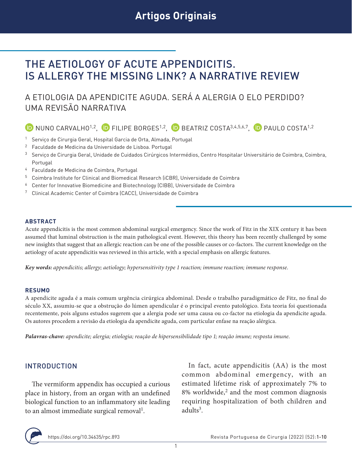# THE AETIOLOGY OF ACUTE APPENDICITIS. IS ALLERGY THE MISSING LINK? A NARRATIVE REVIEW

## A ETIOLOGIA DA APENDICITE AGUDA. SERÁ A ALERGIA O ELO PERDIDO? UMA REVISÃO NARRATIVA

## $\bullet$  NUNO CARVALHO<sup>1,2</sup>,  $\bullet$  FILIPE BORGES<sup>1,2</sup>,  $\bullet$  BEATRIZ COSTA<sup>3,4,5,6,7</sup>,  $\bullet$  PAULO COSTA<sup>1,2</sup>

- <sup>1</sup> Serviço de Cirurgia Geral, Hospital Garcia de Orta, Almada, Portugal
- <sup>2</sup> Faculdade de Medicina da Universidade de Lisboa. Portugal
- 3 Serviço de Cirurgia Geral, Unidade de Cuidados Cirúrgicos Intermédios, Centro Hospitalar Universitário de Coimbra, Coimbra, Portugal
- <sup>4</sup> Faculdade de Medicina de Coimbra, Portugal
- <sup>5</sup> Coimbra Institute for Clinical and Biomedical Research (iCBR), Universidade de Coimbra
- <sup>6</sup> Center for Innovative Biomedicine and Biotechnology (CIBB), Universidade de Coimbra
- <sup>7</sup> Clinical Academic Center of Coimbra (CACC), Universidade de Coimbra

#### **ABSTRACT**

Acute appendicitis is the most common abdominal surgical emergency. Since the work of Fitz in the XIX century it has been assumed that luminal obstruction is the main pathological event. However, this theory has been recently challenged by some new insights that suggest that an allergic reaction can be one of the possible causes or co-factors. The current knowledge on the aetiology of acute appendicitis was reviewed in this article, with a special emphasis on allergic features.

*Key words: appendicitis; allergy; aetiology; hypersensitivity type 1 reaction; immune reaction; immune response.*

#### **RESUMO**

A apendicite aguda é a mais comum urgência cirúrgica abdominal. Desde o trabalho paradigmático de Fitz, no final do século XX, assumiu-se que a obstrução do lúmen apendicular é o principal evento patológico. Esta teoria foi questionada recentemente, pois alguns estudos sugerem que a alergia pode ser uma causa ou co-factor na etiologia da apendicite aguda. Os autores procedem a revisão da etiologia da apendicite aguda, com particular enfase na reação alérgica.

*Palavras-chave: apendicite; alergia; etiologia; reação de hipersensibilidade tipo 1; reação imune; resposta imune.*

#### INTRODUCTION

The vermiform appendix has occupied a curious place in history, from an organ with an undefined biological function to an inflammatory site leading to an almost immediate surgical removal<sup>1</sup>.

In fact, acute appendicitis (AA) is the most common abdominal emergency, with an estimated lifetime risk of approximately 7% to  $8\%$  worldwide,<sup>2</sup> and the most common diagnosis requiring hospitalization of both children and  $adults<sup>3</sup>$ .

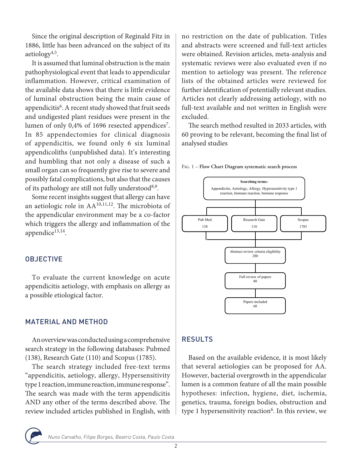Since the original description of Reginald Fitz in 1886, little has been advanced on the subject of its aetiology $4,5$ .

It is assumed that luminal obstruction is the main pathophysiological event that leads to appendicular inflammation. However, critical examination of the available data shows that there is little evidence of luminal obstruction being the main cause of appendicitis<sup>6</sup>. A recent study showed that fruit seeds and undigested plant residues were present in the lumen of only 0,4% of 1696 resected appendices<sup>7</sup>. In 85 appendectomies for clinical diagnosis of appendicitis, we found only 6 six luminal appendicoliths (unpublished data). It's interesting and humbling that not only a disease of such a small organ can so frequently give rise to severe and possibly fatal complications, but also that the causes of its pathology are still not fully understood<sup>8,9</sup>.

Some recent insights suggest that allergy can have an aetiologic role in AA10,11,12. The microbiota of the appendicular environment may be a co-factor which triggers the allergy and inflammation of the appendice $13,14$ .

#### **OBJECTIVE**

To evaluate the current knowledge on acute appendicitis aetiology, with emphasis on allergy as a possible etiological factor.

#### MATERIAL AND METHOD

An overview was conducted using a comprehensive search strategy in the following databases: Pubmed (138), Research Gate (110) and Scopus (1785).

The search strategy included free-text terms "appendicitis, aetiology, allergy, Hypersensitivity type 1 reaction, immune reaction, immune response". The search was made with the term appendicitis AND any other of the terms described above. The review included articles published in English, with

no restriction on the date of publication. Titles and abstracts were screened and full-text articles were obtained. Revision articles, meta-analysis and systematic reviews were also evaluated even if no mention to aetiology was present. The reference lists of the obtained articles were reviewed for further identification of potentially relevant studies. Articles not clearly addressing aetiology, with no full-text available and not written in English were excluded.

The search method resulted in 2033 articles, with 60 proving to be relevant, becoming the final list of analysed studies





## **Results**  RESULTS

Based on the available evidence, it is most likely that several aetiologies can be proposed for AA. However, bacterial overgrowth in the appendicular lumen is a common feature of all the main possible hypotheses: infection, hygiene, diet, ischemia, genetics, trauma, foreign bodies, obstruction and type 1 hypersensitivity reaction<sup>6</sup>. In this review, we



Nuno Carvalho, Filipe Borges, Beatriz Costa, Paulo Costa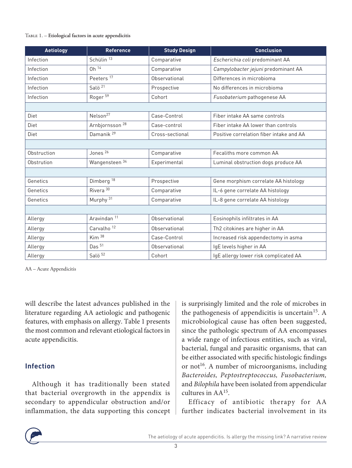#### Table 1. – **Etiological factors in acute appendicitis**

| <b>Aetiology</b> | <b>Reference</b>                | <b>Study Design</b> | <b>Conclusion</b>                        |
|------------------|---------------------------------|---------------------|------------------------------------------|
| Infection        | Schülin <sup>13</sup>           | Comparative         | Escherichia coli predominant AA          |
| Infection        | $Oh$ <sup><math>14</math></sup> | Comparative         | Campylobacter jejuni predominant AA      |
| Infection        | Peeters <sup>17</sup>           | Observational       | Differences in microbioma                |
| Infection        | Salö <sup>21</sup>              | Prospective         | No differences in microbioma             |
| Infection        | Roger <sup>59</sup>             | Cohort              | Fusobaterium pathogenese AA              |
|                  |                                 |                     |                                          |
| Diet             | Nelson <sup>27</sup>            | Case-Control        | Fiber intake AA same controls            |
| Diet             | Arnbjornsson <sup>28</sup>      | Case-control        | Fiber intake AA lower than controls      |
| Diet             | Damanik <sup>29</sup>           | Cross-sectional     | Positive correlation fiber intake and AA |
|                  |                                 |                     |                                          |
| Obstruction      | Jones <sup>26</sup>             | Comparative         | Fecaliths more common AA                 |
| Obstrution       | Wangensteen 34                  | Experimental        | Luminal obstruction dogs produce AA      |
|                  |                                 |                     |                                          |
| Genetics         | Dimberg <sup>18</sup>           | Prospective         | Gene morphism correlate AA histology     |
| Genetics         | Rivera <sup>30</sup>            | Comparative         | IL-6 gene correlate AA histology         |
| Genetics         | Murphy <sup>31</sup>            | Comparative         | IL-8 gene correlate AA histology         |
|                  |                                 |                     |                                          |
| Allergy          | Aravindan <sup>11</sup>         | Observational       | Eosinophils infiltrates in AA            |
| Allergy          | Carvalho <sup>12</sup>          | Observational       | Th2 citokines are higher in AA           |
| Allergy          | Kim <sup>38</sup>               | Case-Control        | Increased risk appendectomy in asma      |
| Allergy          | Das $51$                        | Observational       | IgE levels higher in AA                  |
| Allergy          | Salö <sup>52</sup>              | Cohort              | IgE allergy lower risk complicated AA    |

AA – Acute Appendicitis

will describe the latest advances published in the literature regarding AA aetiologic and pathogenic features, with emphasis on allergy. Table 1 presents the most common and relevant etiological factors in acute appendicitis.

#### **Infection**

Although it has traditionally been stated that bacterial overgrowth in the appendix is secondary to appendicular obstruction and/or inflammation, the data supporting this concept is surprisingly limited and the role of microbes in the pathogenesis of appendicitis is uncertain<sup>15</sup>. A microbiological cause has often been suggested, since the pathologic spectrum of AA encompasses a wide range of infectious entities, such as viral, bacterial, fungal and parasitic organisms, that can be either associated with specific histologic findings or not<sup>16</sup>. A number of microorganisms, including *Bacteroides, Peptostreptococcus, Fusobacterium,*  and *Bilophila* have been isolated from appendicular cultures in AA15.

Efficacy of antibiotic therapy for AA further indicates bacterial involvement in its

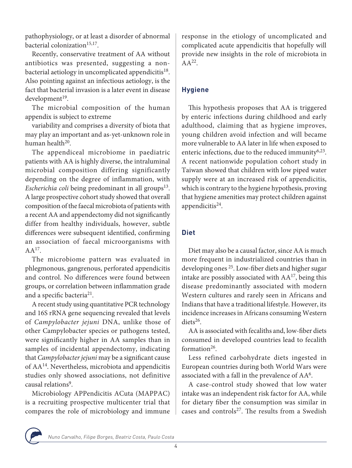pathophysiology, or at least a disorder of abnormal bacterial colonization $15,17$ .

Recently, conservative treatment of AA without antibiotics was presented, suggesting a nonbacterial aetiology in uncomplicated appendicitis<sup>18</sup>. Also pointing against an infectious aetiology, is the fact that bacterial invasion is a later event in disease  $d$ evelopment $19$ .

The microbial composition of the human appendix is subject to extreme

variability and comprises a diversity of biota that may play an important and as-yet-unknown role in human health<sup>20</sup>.

The appendiceal microbiome in paediatric patients with AA is highly diverse, the intraluminal microbial composition differing significantly depending on the degree of inflammation, with *Escherichia coli* being predominant in all groups<sup>13</sup>. A large prospective cohort study showed that overall composition of the faecal microbiota of patients with a recent AA and appendectomy did not significantly differ from healthy individuals, however, subtle differences were subsequent identified, confirming an association of faecal microorganisms with  $AA^{17}$ .

The microbiome pattern was evaluated in phlegmonous, gangrenous, perforated appendicitis and control. No differences were found between groups, or correlation between inflammation grade and a specific bacteria<sup>21</sup>.

A recent study using quantitative PCR technology and 16S rRNA gene sequencing revealed that levels of *Campylobacter jejuni* DNA, unlike those of other Campylobacter species or pathogens tested, were significantly higher in AA samples than in samples of incidental appendectomy, indicating that *Campylobacter jejuni* may be a significant cause of AA14. Nevertheless, microbiota and appendicitis studies only showed associations, not definitive causal relations<sup>9</sup>.

Microbiology APPendicitis ACuta (MAPPAC) is a recruiting prospective multicenter trial that compares the role of microbiology and immune

response in the etiology of uncomplicated and complicated acute appendicitis that hopefully will provide new insights in the role of microbiota in  $AA^{22}$ .

## **Hygiene**

This hypothesis proposes that AA is triggered by enteric infections during childhood and early adulthood, claiming that as hygiene improves, young children avoid infection and will became more vulnerable to AA later in life when exposed to enteric infections, due to the reduced immunity<sup>6,23</sup>. A recent nationwide population cohort study in Taiwan showed that children with low piped water supply were at an increased risk of appendicitis, which is contrary to the hygiene hypothesis, proving that hygiene amenities may protect children against appendicitis<sup>24</sup>.

## **Diet**

Diet may also be a causal factor, since AA is much more frequent in industrialized countries than in developing ones 25. Low-fiber diets and higher sugar intake are possibly associated with  $AA^{17}$ , being this disease predominantly associated with modern Western cultures and rarely seen in Africans and Indians that have a traditional lifestyle. However, its incidence increases in Africans consuming Western diets<sup>26</sup>.

AA is associated with fecaliths and, low-fiber diets consumed in developed countries lead to fecalith formation $26$ .

Less refined carbohydrate diets ingested in European countries during both World Wars were associated with a fall in the prevalence of AA6.

A case-control study showed that low water intake was an independent risk factor for AA, while for dietary fiber the consumption was similar in cases and controls<sup>27</sup>. The results from a Swedish

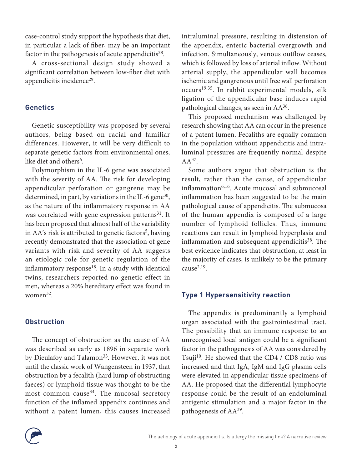case-control study support the hypothesis that diet, in particular a lack of fiber, may be an important factor in the pathogenesis of acute appendicitis<sup>28</sup>.

A cross-sectional design study showed a significant correlation between low-fiber diet with appendicitis incidence<sup>29</sup>.

#### **Genetics**

Genetic susceptibility was proposed by several authors, being based on racial and familiar differences. However, it will be very difficult to separate genetic factors from environmental ones, like diet and others<sup>6</sup>.

Polymorphism in the IL-6 gene was associated with the severity of AA. The risk for developing appendicular perforation or gangrene may be determined, in part, by variations in the IL-6 gene<sup>30</sup>, as the nature of the inflammatory response in AA was correlated with gene expression patterns<sup>31</sup>. It has been proposed that almost half of the variability in AA's risk is attributed to genetic factors<sup>5</sup>, having recently demonstrated that the association of gene variants with risk and severity of AA suggests an etiologic role for genetic regulation of the inflammatory response $18$ . In a study with identical twins, researchers reported no genetic effect in men, whereas a 20% hereditary effect was found in women32.

#### **Obstruction**

The concept of obstruction as the cause of AA was described as early as 1896 in separate work by Dieulafoy and Talamon<sup>33</sup>. However, it was not until the classic work of Wangensteen in 1937, that obstruction by a fecalith (hard lump of obstructing faeces) or lymphoid tissue was thought to be the most common cause<sup>34</sup>. The mucosal secretory function of the inflamed appendix continues and without a patent lumen, this causes increased

intraluminal pressure, resulting in distension of the appendix, enteric bacterial overgrowth and infection. Simultaneously, venous outflow ceases, which is followed by loss of arterial inflow. Without arterial supply, the appendicular wall becomes ischemic and gangrenous until free wall perforation occurs19,35. In rabbit experimental models, silk ligation of the appendicular base induces rapid pathological changes, as seen in AA36.

This proposed mechanism was challenged by research showing that AA can occur in the presence of a patent lumen. Fecaliths are equally common in the population without appendicitis and intraluminal pressures are frequently normal despite  $A A^{37}$ .

Some authors argue that obstruction is the result, rather than the cause, of appendicular inflammation<sup>6,16</sup>. Acute mucosal and submucosal inflammation has been suggested to be the main pathological cause of appendicitis. The submucosa of the human appendix is composed of a large number of lymphoid follicles. Thus, immune reactions can result in lymphoid hyperplasia and inflammation and subsequent appendicitis $38$ . The best evidence indicates that obstruction, at least in the majority of cases, is unlikely to be the primary cause $^{2,19}$ .

## **Type 1 Hypersensitivity reaction**

The appendix is predominantly a lymphoid organ associated with the gastrointestinal tract. The possibility that an immune response to an unrecognised local antigen could be a significant factor in the pathogenesis of AA was considered by Tsuji<sup>10</sup>. He showed that the CD4 / CD8 ratio was increased and that IgA, IgM and IgG plasma cells were elevated in appendicular tissue specimens of AA. He proposed that the differential lymphocyte response could be the result of an endoluminal antigenic stimulation and a major factor in the pathogenesis of AA39.

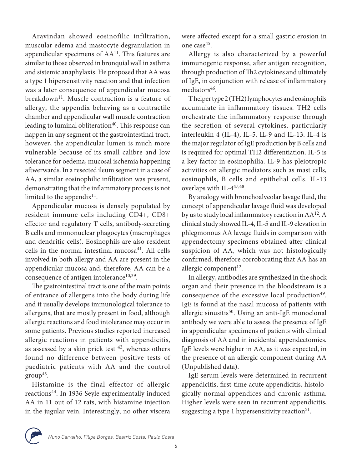Aravindan showed eosinofilic infiltration, muscular edema and mastocyte degranulation in appendicular specimens of AA<sup>11</sup>. This features are similar to those observed in bronquial wall in asthma and sistemic anaphylaxis. He proposed that AA was a type 1 hipersensitivity reaction and that infection was a later consequence of appendicular mucosa breakdown<sup>11</sup>. Muscle contraction is a feature of allergy, the appendix behaving as a contractile chamber and appendicular wall muscle contraction leading to luminal obliteration<sup>40</sup>. This response can happen in any segment of the gastrointestinal tract, however, the appendicular lumen is much more vulnerable because of its small calibre and low tolerance for oedema, mucosal ischemia happening aftwerwards. In a resected ileum segment in a case of AA, a similar eosinophilic infiltration was present, demonstrating that the inflammatory process is not limited to the appendix $11$ .

Appendicular mucosa is densely populated by resident immune cells including CD4+, CD8+ effector and regulatory T cells, antibody-secreting B cells and mononuclear phagocytes (macrophages and dendritic cells). Eosinophils are also resident cells in the normal intestinal mucosa<sup>41</sup>. All cells involved in both allergy and AA are present in the appendicular mucosa and, therefore, AA can be a consequence of antigen intolerance $10,39$ .

The gastrointestinal tract is one of the main points of entrance of allergens into the body during life and it usually develops immunological tolerance to allergens, that are mostly present in food, although allergic reactions and food intolerance may occur in some patients. Previous studies reported increased allergic reactions in patients with appendicitis, as assessed by a skin prick test  $42$ , whereas others found no difference between positive tests of paediatric patients with AA and the control  $group^{43}$ .

Histamine is the final effector of allergic reactions44. In 1936 Seyle experimentally induced AA in 11 out of 12 rats, with histamine injection in the jugular vein. Interestingly, no other viscera

were affected except for a small gastric erosion in one case45.

Allergy is also characterized by a powerful immunogenic response, after antigen recognition, through production of Th2 cytokines and ultimately of IgE, in conjunction with release of inflammatory mediators<sup>46</sup>.

T helper type 2 (TH2) lymphocytes and eosinophils accumulate in inflammatory tissues. TH2 cells orchestrate the inflammatory response through the secretion of several cytokines, particularly interleukin 4 (IL-4), IL-5, IL-9 and IL-13. IL-4 is the major regulator of IgE production by B cells and is required for optimal TH2 differentiation. IL-5 is a key factor in eosinophilia. IL-9 has pleiotropic activities on allergic mediators such as mast cells, eosinophils, B cells and epithelial cells. IL-13 overlaps with IL-4<sup>47,48</sup>.

By analogy with bronchoalveolar lavage fluid, the concept of appendicular lavage fluid was developed by us to study local inflammatory reaction in AA12. A clinical study showed IL-4, IL-5 and IL-9 elevation in phlegmonous AA lavage fluids in comparison with appendectomy specimens obtained after clinical suspicion of AA, which was not histologically confirmed, therefore corroborating that AA has an allergic component<sup>12</sup>.

In allergy, antibodies are synthesized in the shock organ and their presence in the bloodstream is a consequence of the excessive local production<sup>49</sup>. IgE is found at the nasal mucosa of patients with allergic sinusitis<sup>50</sup>. Using an anti-IgE monoclonal antibody we were able to assess the presence of IgE in appendicular specimens of patients with clinical diagnosis of AA and in incidental appendectomies. IgE levels were higher in AA, as it was expected, in the presence of an allergic component during AA (Unpublished data).

IgE serum levels were determined in recurrent appendicitis, first-time acute appendicitis, histologically normal appendices and chronic asthma. Higher levels were seen in recurrent appendicitis, suggesting a type 1 hypersensitivity reaction<sup>51</sup>.

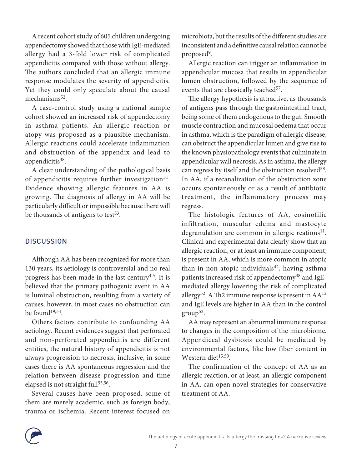A recent cohort study of 605 children undergoing appendectomy showed that those with IgE-mediated allergy had a 3-fold lower risk of complicated appendicitis compared with those without allergy. The authors concluded that an allergic immune response modulates the severity of appendicitis. Yet they could only speculate about the causal mechanisms<sup>52</sup>.

A case-control study using a national sample cohort showed an increased risk of appendectomy in asthma patients. An allergic reaction or atopy was proposed as a plausible mechanism. Allergic reactions could accelerate inflammation and obstruction of the appendix and lead to appendicitis<sup>38</sup>.

A clear understanding of the pathological basis of appendicitis requires further investigation $31$ . Evidence showing allergic features in AA is growing. The diagnosis of allergy in AA will be particularly difficult or impossible because there will be thousands of antigens to test<sup>53</sup>.

## **DISCUSSION**

Although AA has been recognized for more than 130 years, its aetiology is controversial and no real progress has been made in the last century<sup>4,5</sup>. It is believed that the primary pathogenic event in AA is luminal obstruction, resulting from a variety of causes, however, in most cases no obstruction can be found<sup>19,54</sup>.

Others factors contribute to confounding AA aetiology. Recent evidences suggest that perforated and non-perforated appendicitis are different entities, the natural history of appendicitis is not always progression to necrosis, inclusive, in some cases there is AA spontaneous regression and the relation between disease progression and time elapsed is not straight full<sup>55,56</sup>.

Several causes have been proposed, some of them are merely academic, such as foreign body, trauma or ischemia. Recent interest focused on

microbiota, but the results of the different studies are inconsistent and a definitive causal relation cannot be proposed<sup>9</sup>.

Allergic reaction can trigger an inflammation in appendicular mucosa that results in appendicular lumen obstruction, followed by the sequence of events that are classically teached<sup>57</sup>.

The allergy hypothesis is attractive, as thousands of antigens pass through the gastrointestinal tract, being some of them endogenous to the gut. Smooth muscle contraction and mucosal oedema that occur in asthma, which is the paradigm of allergic disease, can obstruct the appendicular lumen and give rise to the known physiopathology events that culminate in appendicular wall necrosis. As in asthma, the allergy can regress by itself and the obstruction resolved<sup>58</sup>. In AA, if a recanalization of the obstruction zone occurs spontaneously or as a result of antibiotic treatment, the inflammatory process may regress.

The histologic features of AA, eosinofilic infiltration, muscular edema and mastocyte degranulation are common in allergic reations $11$ . Clinical and experimental data clearly show that an allergic reaction, or at least an immune component, is present in AA, which is more common in atopic than in non-atopic individuals<sup>42</sup>, having asthma patients increased risk of appendectomy<sup>38</sup> and IgEmediated allergy lowering the risk of complicated allergy<sup>52</sup>. A Th2 immune response is present in  $AA^{12}$ and IgE levels are higher in AA than in the control  $group^{52}$ .

AA may represent an abnormal immune response to changes in the composition of the microbiome. Appendiceal dysbiosis could be mediated by environmental factors, like low fiber content in Western diet<sup>15,59</sup>.

The confirmation of the concept of AA as an allergic reaction, or at least, an allergic component in AA, can open novel strategies for conservative treatment of AA.

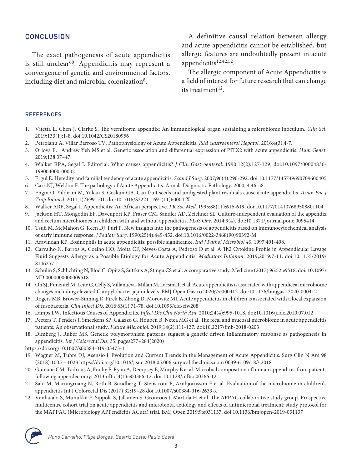#### **CONCLUSION**

The exact pathogenesis of acute appendicitis is still unclear<sup>60</sup>. Appendicitis may represent a convergence of genetic and environmental factors, including diet and microbial colonization<sup>8</sup>.

A definitive causal relation between allergy and acute appendicitis cannot be established, but allergic features are undoubtedly present in acute appendicitis<sup>12,42,52</sup>.

The allergic component of Acute Appendicitis is a field of interest for future research that can change its treatment $12$ 

#### REFERENCES

- 1. Vitetta L, Chen J, Clarke S. The vermiform appendix: An immunological organ sustaining a microbiome inoculum. *Clin Sci*. 2019;133(1):1-8. doi:10.1042/CS20180956
- 2. Petroianu A, Villar Barroso TV. Pathophysiology of Acute Appendicitis. *JSM Gastroenterol Hepatol*. 2016;4(3):4-7.
- 3. Orlova E, · Andrew Yeh MS et al. Genetic association and differential expression of PITX2 with acute appendicitis. *Hum Genet*. 2019;138:37–47.
- 4. Walker RPA, Segal I. Editorial: What causes appendicitis? *J Clin Gastroenterol*. 1990;12(2):127-129. doi:10.1097/00004836- 199004000-00002
- 5. Ergul E. Heredity and familial tendency of acute appendicitis. *Scand J Surg*. 2007;96(4):290-292. doi:10.1177/145749690709600405
- 6. Carr NJ, Weldon F. The pathology of Acute Appendicitis. Annals Diagnostic Pathology. 2000; 4:46-58.
- 7. Engin O, Yildirim M, Yakan S, Coskun GA. Can fruit seeds and undigested plant residuals cause acute appendicitis. *Asian Pac J Trop Biomed*. 2011;1(2):99-101. doi:10.1016/S2221-1691(11)60004-X
- 8. Walker ARP, Segal I. Appendicitis: An African perspective. *J R Soc Med*. 1995;88(11):616-619. doi:10.1177/014107689508801104
- 9. Jackson HT, Mongodin EF, Davenport KP, Fraser CM, Sandler AD, Zeichner SL. Culture-independent evaluation of the appendix and rectum microbiomes in children with and without appendicitis. *PLoS One*. 2014;9(4). doi:10.1371/journal.pone.0095414
- 10. Tsuji M, McMahon G, Reen DJ, Puri P. New insights into the pathogenesis of appendicitis based on immunocytochemical analysis of early immune response. *J Pediatr Surg*. 1990;25(4):449-452. doi:10.1016/0022-3468(90)90392-M
- 11. Aravindan KP. Eosinophils in acute appendicitis: possible significance. *Ind J Pathol Microbiol 40*. 1997:491-498.
- 12. Carvalho N, Barros A, Coelho HO, Moita CF, Neves-Costa A, Pedroso D et al. A Th2 Cytokine Profile in Appendicular Lavage Fluid Suggests Allergy as a Possible Etiology for Acute Appendicitis. *Mediators Inflamm*. 2019;2019:7-11. doi:10.1155/2019/ 8146257
- 13. Schülin S, Schlichting N, Blod C, Opitz S, Suttkus A, Stingu CS et al. A comparative study. Medicine (2017) 96:52:e9518. doi: 10.1097/ MD.0000000000009518
- 14. Oh SJ, Pimentel M, Leite G, Celly S, Villanueva-Millan M, Lacsina I, et al. Acute appendicitis is associated with appendiceal microbiome changes including elevated Campylobacter jejuni levels. BMJ Open Gastro 2020;7:e000412. doi:10.1136/bmjgast-2020-000412
- 15. Rogers MB, Brower-Sinning R, Firek B, Zhong D, Morowitz MJ. Acute appendicitis in children is associated with a local expansion of fusobacteria. *Clin Infect Dis*. 2016;63(1):71-78. doi:10.1093/cid/ciw208
- 16. Lamps LW. Infectious Causes of Appendicitis. *Infect Dis Clin North Am*. 2010;24(4):995-1018. doi:10.1016/j.idc.2010.07.012
- 17. Peeters T, Penders J, Smeekens SP, Galazzo G, Houben B, Netea MG et al. The fecal and mucosal microbiome in acute appendicitis patients: An observational study. *Future Microbiol*. 2019;14(2):111-127. doi:10.2217/fmb-2018-0203
- 18. Dimberg J, Rubér MS. Genetic polymorphism patterns suggest a genetic driven inflammatory response as pathogenesis in appendicitis. *Int J Colorectal Dis*, 35, pages277–284(2020)

https://doi.org/10.1007/s00384-019-03473-1

- 19. Wagner M, Tubre DJ, Asensio J. Evolution and Current Trends in the Management of Acute Appendicitis. Surg Clin N Am 98 (2018) 1005 – 1023 https://doi.org/10.1016/j.suc.2018.05.006 surgical.theclinics.com 0039-6109/18/ª 2018
- 20. Guinane CM, Tadrous A, Fouhy F, Ryan A, Dempsey E, Murphy B et al. Microbial composition of human appendices from patients following appendectomy. 2013mBio 4(1):e00366-12. doi:10.1128/mBio.00366-12.
- 21. Salö M, Marungruang N, Roth B, Sundberg T, Stenström P, Arnbjörnsson E et al. Evaluation of the microbiome in children's appendicitis Int J Colorectal Dis (2017) 32:19–28 doi 10.1007/s00384-016-2639-x
- 22. Vanhatalo S, Munukka E, Sippola S, Jalkanen S, Grönroos J, Marttila H et al. The APPAC collaborative study group. Prospective multicentre cohort trial on acute appendicitis and microbiota, aetiology and effects of antimicrobial treatment: study protocol for the MAPPAC (Microbiology APPendicitis ACuta) trial. BMJ Open 2019;9:e031137. doi:10.1136/bmjopen-2019-031137



Nuno Carvalho, Filipe Borges, Beatriz Costa, Paulo Costa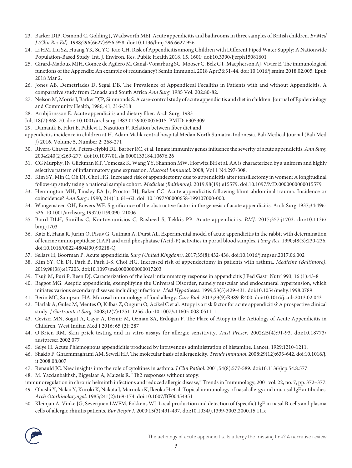- 23. Barker DJP, Osmond C, Golding J, Wadsworth MEJ. Acute appendicitis and bathrooms in three samples of British children. *Br Med J (Clin Res Ed)*. 1988;296(6627):956-958. doi:10.1136/bmj.296.6627.956
- 24. Li HM, Liu SZ, Huang YK, Su YC, Kao CH. Risk of Appendicitis among Children with Different Piped Water Supply: A Nationwide Population-Based Study. Int. J. Environ. Res. Public Health 2018, 15, 1601; doi:10.3390/ijerph15081601
- 25. Girard-Madoux MJH, Gomez de Agüero M, Ganal-Vonarburg SC, Mooser C, Belz GT, Macpherson AJ, Vivier E. The immunological functions of the Appendix: An example of redundancy? Semin Immunol. 2018 Apr;36:31-44. doi: 10.1016/j.smim.2018.02.005. Epub 2018 Mar 2.
- 26. Jones AB, Demetriades D, Segal DB. The Prevalence of Appendiceal Fecaliths in Patients with and without Appendicitis. A comparative study from Canada and South Africa *Ann Surg*. 1985 Vol. 202:80-82.
- 27. Nelson M, Morris J, Barker DJP, Simmonds S. A case-control study of acute appendicitis and diet in children. Journal of Epidemiology and Community Health, 1986, 41, 316-318
- 28. Arnbjörnsson E. Acute appendicitis and dietary fiber. Arch Surg. 1983
- Jul;118(7):868-70. doi: 10.1001/archsurg.1983.01390070076015. PMID: 6305309.
- 29. Damanik B, Fikri E, Pahlevi I, Nasution P. Relation between fiber diet and
- appendicitis incidence in children at H. Adam Malik central hospital Medan North Sumatra-Indonesia. Bali Medical Journal (Bali Med J) 2016, Volume 5, Number 2: 268-271
- 30. Rivera-Chavez FA, Peters-Hybki DL, Barber RC, et al. Innate immunity genes influence the severity of acute appendicitis. *Ann Surg*. 2004;240(2):269-277. doi:10.1097/01.sla.0000133184.10676.26
- 31. CG Murphy, JN Glickman KT, Tomczak K, Wang YY, Shannon MW, Horwitz BH et al. AA is characterized by a uniform and highly selective pattern of inflammatory gene expression. *Mucosal Immunol*. 2008; Vol 1 N4:297-308.
- 32. Kim SY, Min C, Oh DJ, Choi HG. Increased risk of appendectomy due to appendicitis after tonsillectomy in women: A longitudinal follow-up study using a national sample cohort. *Medicine (Baltimore)*. 2019;98(19):e15579. doi:10.1097/MD.0000000000015579
- 33. Hennington MH, Tinsley EA Jr, Proctor HJ, Baker CC. Acute appendicitis following blunt abdominal trauma. Incidence or coincidence? *Ann Surg*.: 1990; 214(1): 61–63. doi: 10.1097/00000658-199107000-000.
- 34. Wangensteen OH, Bowers WF. Significance of the obstructive factor in the genesis of acute appendicitis. Arch Surg 1937;34:496- 526. 10.1001/archsurg.1937.01190090121006
- 35. Baird DLH, Simillis C, Kontovounisios C, Rasheed S, Tekkis PP. Acute appendicitis. *BMJ*. 2017;357:j1703. doi:10.1136/ bmj.j1703
- 36. Katz E, Hana R, Jurim O, Pisuv G, Gutman A, Durst AL. Experimental model of acute appendicitis in the rabbit with determination of leucine amino peptidase (LAP) and acid phosphatase (Acid-P) activities in portal blood samples. *J Surg Res*. 1990;48(3):230-236. doi:10.1016/0022-4804(90)90218-Q
- 37. Sellars H, Boorman P. Acute appendicitis. *Surg (United Kingdom)*. 2017;35(8):432-438. doi:10.1016/j.mpsur.2017.06.002
- 38. Kim SY, Oh DJ, Park B, Park I-S, Choi HG. Increased risk of appendectomy in patients with asthma. *Medicine (Baltimore)*. 2019;98(38):e17203. doi:10.1097/md.0000000000017203
- 39. Tsuji M, Puri P, Reen DJ. Caracterization of the local inflammatory response in appendicitis J Ped Gastr Nutr1993; 16 (1):43-8
- 40. Baggot MG. Aseptic appendicitis, exemplifying the Universal Disorder, namely muscular and endocameral hypertension, which initiates various secondary diseases including infections. *Med Hypotheses*. 1999;53(5):429-431. doi:10.1054/mehy.1998.0789
- 41. Berin MC, Sampson HA. Mucosal immunology of food allergy. *Curr Biol*. 2013;23(9):R389-R400. doi:10.1016/j.cub.2013.02.043
- 42. Harlak A, Gulec M, Mentes O, Kilbas Z, Onguru O, Acikel C et al. Atopy is a risk factor for acute appendicitis? A prospective clinical study. *J Gastrointest Surg*. 2008;12(7):1251-1256. doi:10.1007/s11605-008-0511-1
- 43. Cevizci MN, Sogut A, Cayir A, Demir M, Ozman SA, Erdoğan F. The Place of Atopy in the Aetiology of Acute Appendicitis in Children. West Indian Med J 2016; 65 (2): 287
- 44. O'Brien RM. Skin prick testing and in vitro assays for allergic sensitivity. *Aust Prescr*. 2002;25(4):91-93. doi:10.18773/ austprescr.2002.077
- 45. Selye H. Acute Phlemognous appendicitis produced by intravenous administration of histamine. Lancet. 1929:1210-1211.
- 46. Shakib F, Ghaemmaghami AM, Sewell HF. The molecular basis of allergenicity. *Trends Immunol*. 2008;29(12):633-642. doi:10.1016/j. it.2008.08.007
- 47. Renauld JC. New insights into the role of cytokines in asthma. *J Clin Pathol*. 2001;54(8):577-589. doi:10.1136/jcp.54.8.577
- 48. M. Yazdanbakhsh, Biggelaar A, Maizels R. "Th2 responses without atopy:
- immunoregulation in chronic helminth infections and reduced allergic disease," Trends in Immunology, 2001 vol. 22, no. 7, pp. 372–377.
- 49. Ohashi Y, Nakai Y, Kuroki K, Nakata J, Maruoka K, Ikeoka H et al. Topical immunology of nasal allergy and mucosal IgE antibodies. *Arch Otorhinolaryngol*. 1985;241(2):169-174. doi:10.1007/BF00454351
- 50. Kleinjan A, Vinke JG, Severijnen LWFM, Fokkens WJ. Local production and detection of (specific) IgE in nasal B-cells and plasma cells of allergic rhinitis patients. *Eur Respir J*. 2000;15(3):491-497. doi:10.1034/j.1399-3003.2000.15.11.x